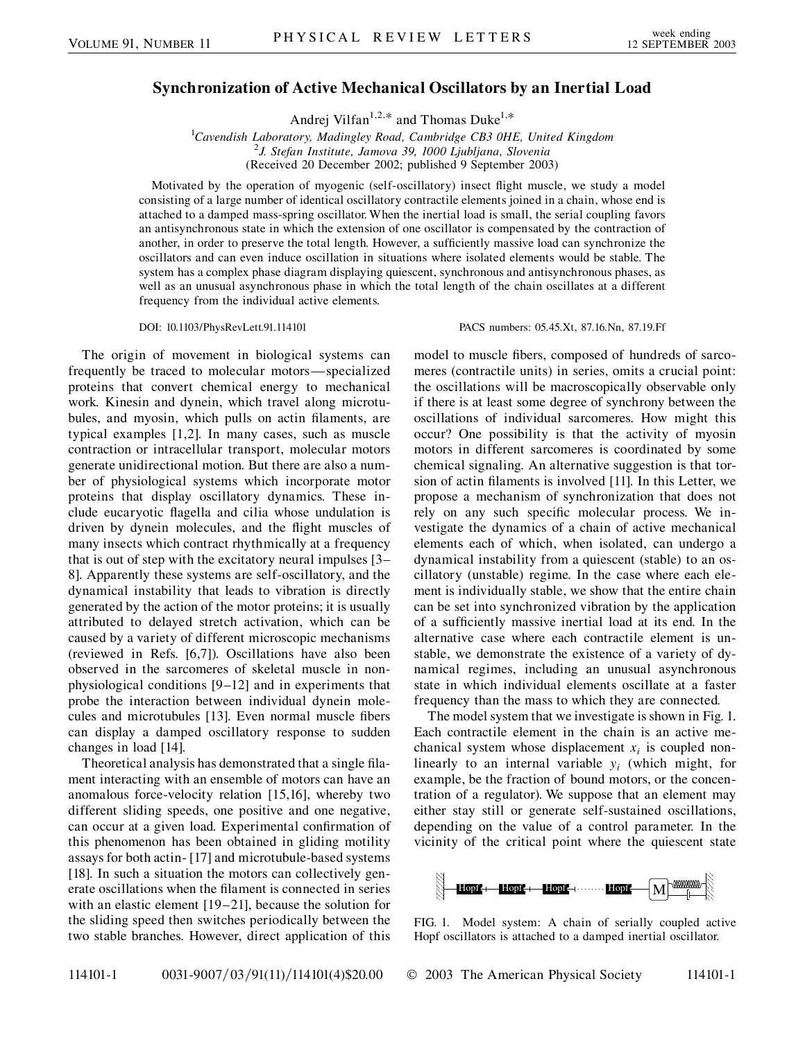## **Synchronization of Active Mechanical Oscillators by an Inertial Load**

Andrej Vilfan<sup>1,2,\*</sup> and Thomas Duke<sup>1,\*</sup>

<sup>1</sup>Cavendish Laboratory, Madingley Road, Cambridge CB3 0HE, United Kingdom<br><sup>2</sup>L Stefan Institute, Jamova 30, 1000 Liubliang, Slovenia *J. Stefan Institute, Jamova 39, 1000 Ljubljana, Slovenia* (Received 20 December 2002; published 9 September 2003)

Motivated by the operation of myogenic (self-oscillatory) insect flight muscle, we study a model consisting of a large number of identical oscillatory contractile elements joined in a chain, whose end is attached to a damped mass-spring oscillator. When the inertial load is small, the serial coupling favors an antisynchronous state in which the extension of one oscillator is compensated by the contraction of another, in order to preserve the total length. However, a sufficiently massive load can synchronize the oscillators and can even induce oscillation in situations where isolated elements would be stable. The system has a complex phase diagram displaying quiescent, synchronous and antisynchronous phases, as well as an unusual asynchronous phase in which the total length of the chain oscillates at a different frequency from the individual active elements.

DOI: 10.1103/PhysRevLett.91.114101 PACS numbers: 05.45.Xt, 87.16.Nn, 87.19.Ff

The origin of movement in biological systems can frequently be traced to molecular motors—specialized proteins that convert chemical energy to mechanical work. Kinesin and dynein, which travel along microtubules, and myosin, which pulls on actin filaments, are typical examples [1,2]. In many cases, such as muscle contraction or intracellular transport, molecular motors generate unidirectional motion. But there are also a number of physiological systems which incorporate motor proteins that display oscillatory dynamics. These include eucaryotic flagella and cilia whose undulation is driven by dynein molecules, and the flight muscles of many insects which contract rhythmically at a frequency that is out of step with the excitatory neural impulses [3– 8]. Apparently these systems are self-oscillatory, and the dynamical instability that leads to vibration is directly generated by the action of the motor proteins; it is usually attributed to delayed stretch activation, which can be caused by a variety of different microscopic mechanisms (reviewed in Refs. [6,7]). Oscillations have also been observed in the sarcomeres of skeletal muscle in nonphysiological conditions [9–12] and in experiments that probe the interaction between individual dynein molecules and microtubules [13]. Even normal muscle fibers can display a damped oscillatory response to sudden changes in load [14].

Theoretical analysis has demonstrated that a single filament interacting with an ensemble of motors can have an anomalous force-velocity relation [15,16], whereby two different sliding speeds, one positive and one negative, can occur at a given load. Experimental confirmation of this phenomenon has been obtained in gliding motility assays for both actin- [17] and microtubule-based systems [18]. In such a situation the motors can collectively generate oscillations when the filament is connected in series with an elastic element [19–21], because the solution for the sliding speed then switches periodically between the two stable branches. However, direct application of this

model to muscle fibers, composed of hundreds of sarcomeres (contractile units) in series, omits a crucial point: the oscillations will be macroscopically observable only if there is at least some degree of synchrony between the oscillations of individual sarcomeres. How might this occur? One possibility is that the activity of myosin motors in different sarcomeres is coordinated by some chemical signaling. An alternative suggestion is that torsion of actin filaments is involved [11]. In this Letter, we propose a mechanism of synchronization that does not rely on any such specific molecular process. We investigate the dynamics of a chain of active mechanical elements each of which, when isolated, can undergo a dynamical instability from a quiescent (stable) to an oscillatory (unstable) regime. In the case where each element is individually stable, we show that the entire chain can be set into synchronized vibration by the application of a sufficiently massive inertial load at its end. In the alternative case where each contractile element is unstable, we demonstrate the existence of a variety of dynamical regimes, including an unusual asynchronous state in which individual elements oscillate at a faster frequency than the mass to which they are connected.

The model system that we investigate is shown in Fig. 1. Each contractile element in the chain is an active mechanical system whose displacement  $x_i$  is coupled nonlinearly to an internal variable  $y_i$  (which might, for example, be the fraction of bound motors, or the concentration of a regulator). We suppose that an element may either stay still or generate self-sustained oscillations, depending on the value of a control parameter. In the vicinity of the critical point where the quiescent state



FIG. 1. Model system: A chain of serially coupled active Hopf oscillators is attached to a damped inertial oscillator.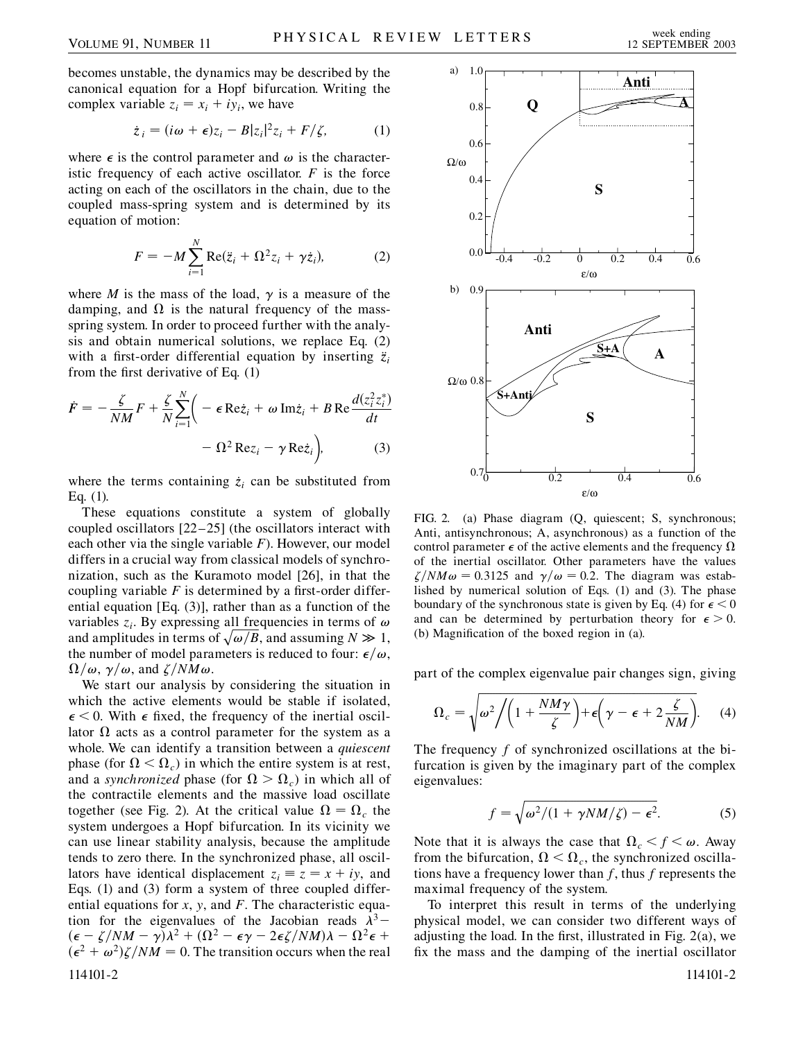becomes unstable, the dynamics may be described by the canonical equation for a Hopf bifurcation. Writing the complex variable  $z_i = x_i + iy_i$ , we have

$$
\dot{z}_i = (i\omega + \epsilon)z_i - B|z_i|^2 z_i + F/\zeta, \qquad (1)
$$

where  $\epsilon$  is the control parameter and  $\omega$  is the characteristic frequency of each active oscillator.  $F$  is the force acting on each of the oscillators in the chain, due to the coupled mass-spring system and is determined by its equation of motion:

$$
F = -M \sum_{i=1}^{N} \text{Re}(\ddot{z}_i + \Omega^2 z_i + \gamma \dot{z}_i), \tag{2}
$$

where *M* is the mass of the load,  $\gamma$  is a measure of the damping, and  $\Omega$  is the natural frequency of the massspring system. In order to proceed further with the analysis and obtain numerical solutions, we replace Eq. (2) with a first-order differential equation by inserting  $\ddot{z}_i$ from the first derivative of Eq. (1)

$$
\dot{F} = -\frac{\zeta}{NM}F + \frac{\zeta}{N} \sum_{i=1}^{N} \left( -\epsilon \operatorname{Re} \dot{z}_i + \omega \operatorname{Im} \dot{z}_i + B \operatorname{Re} \frac{d(z_i^2 z_i^*)}{dt} \right) - \Omega^2 \operatorname{Re} z_i - \gamma \operatorname{Re} \dot{z}_i \right), \tag{3}
$$

where the terms containing  $\dot{z}_i$  can be substituted from Eq. (1).

These equations constitute a system of globally coupled oscillators [22–25] (the oscillators interact with each other via the single variable *F*). However, our model differs in a crucial way from classical models of synchronization, such as the Kuramoto model [26], in that the coupling variable  $F$  is determined by a first-order differential equation [Eq. (3)], rather than as a function of the variables  $z_i$ . By expressing all frequencies in terms of  $\omega$ variables  $z_i$ . By expressing an inequencies in terms of  $\omega$ <br>and amplitudes in terms of  $\sqrt{\omega/B}$ , and assuming  $N \gg 1$ , the number of model parameters is reduced to four:  $\epsilon/\omega$ ,  $\Omega/\omega$ ,  $\gamma/\omega$ , and  $\zeta/NM\omega$ .

We start our analysis by considering the situation in which the active elements would be stable if isolated,  $\epsilon$  < 0. With  $\epsilon$  fixed, the frequency of the inertial oscillator  $\Omega$  acts as a control parameter for the system as a whole. We can identify a transition between a *quiescent* phase (for  $\Omega < \Omega_c$ ) in which the entire system is at rest, and a *synchronized* phase (for  $\Omega > \Omega_c$ ) in which all of the contractile elements and the massive load oscillate together (see Fig. 2). At the critical value  $\Omega = \Omega_c$  the system undergoes a Hopf bifurcation. In its vicinity we can use linear stability analysis, because the amplitude tends to zero there. In the synchronized phase, all oscillators have identical displacement  $z_i \equiv z = x + iy$ , and Eqs. (1) and (3) form a system of three coupled differential equations for *x*, *y*, and *F*. The characteristic equation for the eigenvalues of the Jacobian reads  $\lambda^3$  –  $(\epsilon - \zeta/NM - \gamma)\lambda^2 + (\Omega^2 - \epsilon\gamma - 2\epsilon\zeta/NM)\lambda - \Omega^2\epsilon +$  $(\epsilon^2 + \omega^2)\zeta/NM = 0$ . The transition occurs when the real 114101-2 114101-2



FIG. 2. (a) Phase diagram (Q, quiescent; S, synchronous; Anti, antisynchronous; A, asynchronous) as a function of the control parameter  $\epsilon$  of the active elements and the frequency  $\Omega$ of the inertial oscillator. Other parameters have the values  $\zeta/NM\omega = 0.3125$  and  $\gamma/\omega = 0.2$ . The diagram was established by numerical solution of Eqs. (1) and (3). The phase boundary of the synchronous state is given by Eq. (4) for  $\epsilon < 0$ and can be determined by perturbation theory for  $\epsilon > 0$ . (b) Magnification of the boxed region in (a).

part of the complex eigenvalue pair changes sign, giving

$$
\Omega_c = \sqrt{\omega^2 / \left(1 + \frac{NM\gamma}{\zeta}\right) + \epsilon \left(\gamma - \epsilon + 2\frac{\zeta}{NM}\right)}.
$$
 (4)

The frequency *f* of synchronized oscillations at the bifurcation is given by the imaginary part of the complex eigenvalues:

$$
f = \sqrt{\omega^2/(1 + \gamma NM/\zeta) - \epsilon^2}.
$$
 (5)

Note that it is always the case that  $\Omega_c < f < \omega$ . Away from the bifurcation,  $\Omega < \Omega_c$ , the synchronized oscillations have a frequency lower than *f*, thus *f* represents the maximal frequency of the system.

To interpret this result in terms of the underlying physical model, we can consider two different ways of adjusting the load. In the first, illustrated in Fig. 2(a), we fix the mass and the damping of the inertial oscillator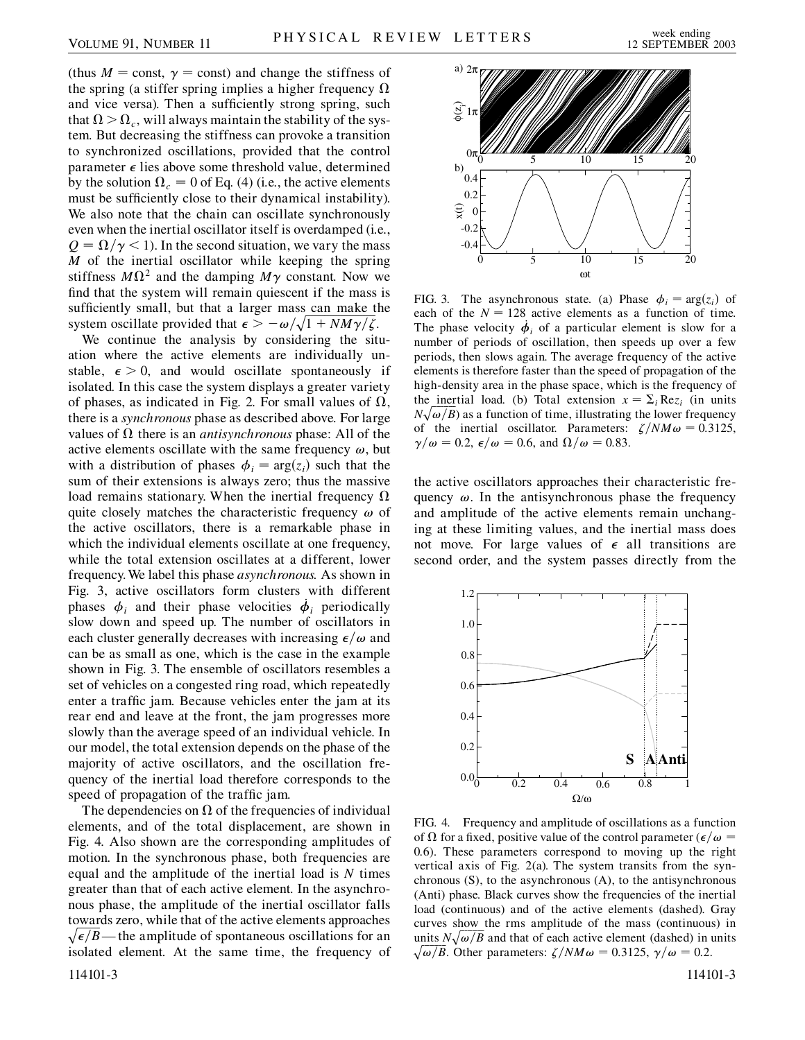(thus  $M = \text{const}$ ,  $\gamma = \text{const}$ ) and change the stiffness of the spring (a stiffer spring implies a higher frequency  $\Omega$ and vice versa). Then a sufficiently strong spring, such that  $\Omega > \Omega_c$ , will always maintain the stability of the system. But decreasing the stiffness can provoke a transition to synchronized oscillations, provided that the control parameter  $\epsilon$  lies above some threshold value, determined by the solution  $\Omega_c = 0$  of Eq. (4) (i.e., the active elements must be sufficiently close to their dynamical instability). We also note that the chain can oscillate synchronously even when the inertial oscillator itself is overdamped (i.e.,  $Q = \Omega/\gamma < 1$ ). In the second situation, we vary the mass *M* of the inertial oscillator while keeping the spring stiffness  $M\Omega^2$  and the damping  $M\gamma$  constant. Now we find that the system will remain quiescent if the mass is sufficiently small, but that a larger mass can make the system oscillate provided that  $\epsilon > -\omega/\sqrt{1 + NM\gamma/\zeta}$ .

We continue the analysis by considering the situation where the active elements are individually unstable,  $\epsilon > 0$ , and would oscillate spontaneously if isolated. In this case the system displays a greater variety of phases, as indicated in Fig. 2. For small values of  $\Omega$ , there is a *synchronous* phase as described above. For large values of  $\Omega$  there is an *antisynchronous* phase: All of the active elements oscillate with the same frequency  $\omega$ , but with a distribution of phases  $\phi_i = \arg(z_i)$  such that the sum of their extensions is always zero; thus the massive load remains stationary. When the inertial frequency  $\Omega$ quite closely matches the characteristic frequency  $\omega$  of the active oscillators, there is a remarkable phase in which the individual elements oscillate at one frequency, while the total extension oscillates at a different, lower frequency. We label this phase *asynchronous.* As shown in Fig. 3, active oscillators form clusters with different phases  $\phi_i$  and their phase velocities  $\dot{\phi}_i$  periodically slow down and speed up. The number of oscillators in each cluster generally decreases with increasing  $\epsilon/\omega$  and can be as small as one, which is the case in the example shown in Fig. 3. The ensemble of oscillators resembles a set of vehicles on a congested ring road, which repeatedly enter a traffic jam. Because vehicles enter the jam at its rear end and leave at the front, the jam progresses more slowly than the average speed of an individual vehicle. In our model, the total extension depends on the phase of the majority of active oscillators, and the oscillation frequency of the inertial load therefore corresponds to the speed of propagation of the traffic jam.

The dependencies on  $\Omega$  of the frequencies of individual elements, and of the total displacement, are shown in Fig. 4. Also shown are the corresponding amplitudes of motion. In the synchronous phase, both frequencies are equal and the amplitude of the inertial load is *N* times greater than that of each active element. In the asynchronous phase, the amplitude of the inertial oscillator falls towards zero, while that of the active elements approaches  $\sqrt{\epsilon}/B$ — the amplitude of spontaneous oscillations for an isolated element. At the same time, the frequency of





FIG. 3. The asynchronous state. (a) Phase  $\phi_i = \arg(z_i)$  of each of the  $N = 128$  active elements as a function of time. The phase velocity  $\dot{\phi}_i$  of a particular element is slow for a number of periods of oscillation, then speeds up over a few periods, then slows again. The average frequency of the active elements is therefore faster than the speed of propagation of the high-density area in the phase space, which is the frequency of the inertial load. (b) Total extension  $x = \sum_i \text{Re} z_i$  (in units  $N\sqrt{\omega/B}$ ) as a function of time, illustrating the lower frequency of the inertial oscillator. Parameters:  $\zeta/NM\omega = 0.3125$ ,  $\gamma/\omega = 0.2$ ,  $\epsilon/\omega = 0.6$ , and  $\Omega/\omega = 0.83$ .

the active oscillators approaches their characteristic frequency  $\omega$ . In the antisynchronous phase the frequency and amplitude of the active elements remain unchanging at these limiting values, and the inertial mass does not move. For large values of  $\epsilon$  all transitions are second order, and the system passes directly from the



FIG. 4. Frequency and amplitude of oscillations as a function of  $\Omega$  for a fixed, positive value of the control parameter ( $\epsilon/\omega$  = 0*:*6). These parameters correspond to moving up the right vertical axis of Fig. 2(a). The system transits from the synchronous (S), to the asynchronous (A), to the antisynchronous (Anti) phase. Black curves show the frequencies of the inertial load (continuous) and of the active elements (dashed). Gray curves show the rms amplitude of the mass (continuous) in units  $N\sqrt{\omega/B}$  and that of each active element (dashed) in units  $N\sqrt{\omega/B}$  and that of each active element (dashed) in units  $\sqrt{\omega/B}$ . Other parameters:  $\zeta/NM\omega = 0.3125$ ,  $\gamma/\omega = 0.2$ .